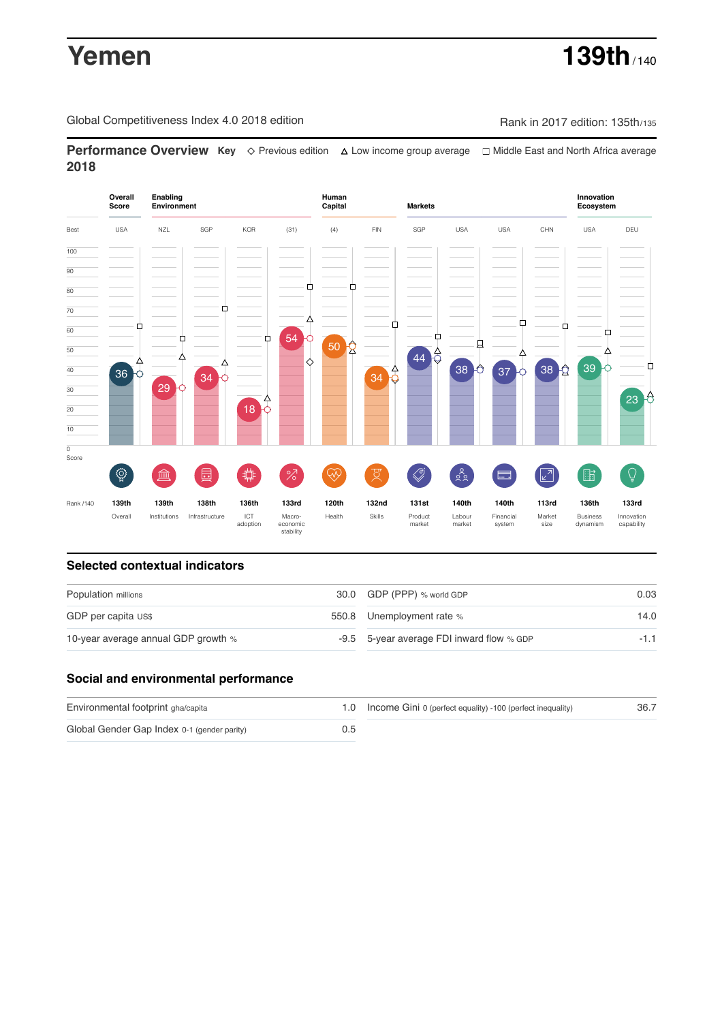# **Yemen 139th** / 140

Global Competitiveness Index 4.0 2018 edition Rank in 2017 edition: 135th/135

**Performance Overview Key** Previous edition Low income group average Middle East and North Africa average **2018**



## **Selected contextual indicators**

| Population millions                 | 30.0 GDP (PPP) % world GDP                | 0.03   |  |
|-------------------------------------|-------------------------------------------|--------|--|
| GDP per capita US\$                 | 550.8 Unemployment rate %                 | 14.0   |  |
| 10-year average annual GDP growth % | -9.5 5-year average FDI inward flow % GDP | $-1.1$ |  |

## **Social and environmental performance**

| Environmental footprint gha/capita          |     | 1.0 Income Gini 0 (perfect equality) -100 (perfect inequality) | 36.7 |
|---------------------------------------------|-----|----------------------------------------------------------------|------|
| Global Gender Gap Index 0-1 (gender parity) | 0.5 |                                                                |      |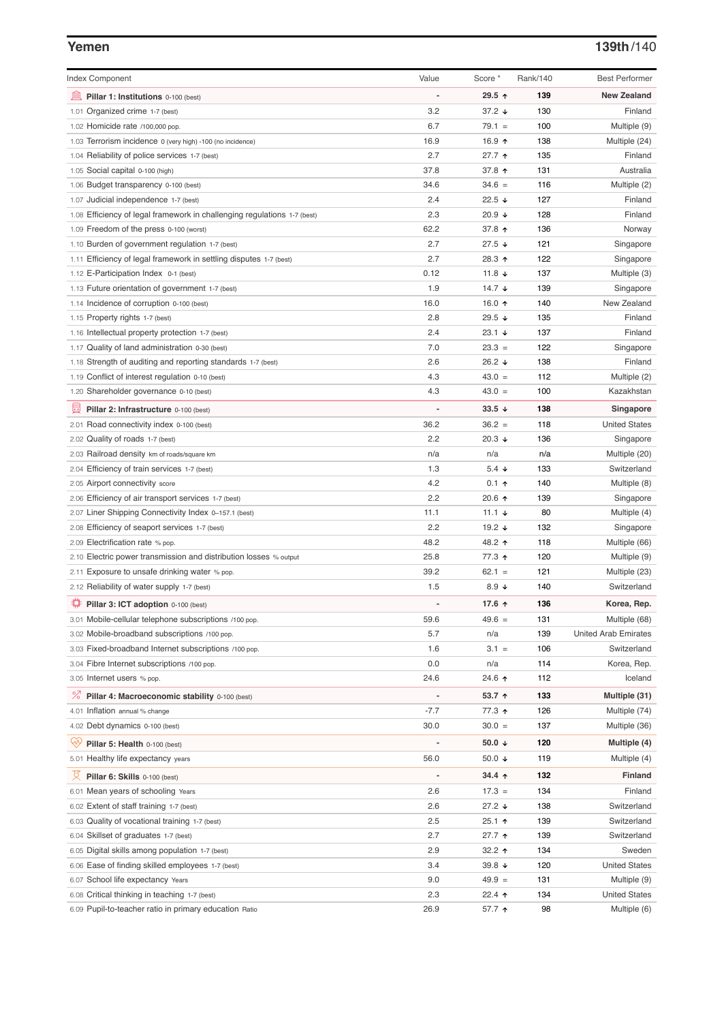### **Yemen 139th**/140

| <b>Index Component</b>                                                   | Value          | Score *                  | Rank/140 | <b>Best Performer</b>       |
|--------------------------------------------------------------------------|----------------|--------------------------|----------|-----------------------------|
| 皿<br>Pillar 1: Institutions 0-100 (best)                                 |                | 29.5 ↑                   | 139      | <b>New Zealand</b>          |
| 1.01 Organized crime 1-7 (best)                                          | 3.2            | 37.2 $\sqrt{ }$          | 130      | Finland                     |
| 1.02 Homicide rate /100,000 pop.                                         | 6.7            | $79.1 =$                 | 100      | Multiple (9)                |
| 1.03 Terrorism incidence 0 (very high) -100 (no incidence)               | 16.9           | 16.9 ↑                   | 138      | Multiple (24)               |
| 1.04 Reliability of police services 1-7 (best)                           | 2.7            | $27.7$ ↑                 | 135      | Finland                     |
| 1.05 Social capital 0-100 (high)                                         | 37.8           | 37.8 ↑                   | 131      | Australia                   |
| 1.06 Budget transparency 0-100 (best)                                    | 34.6           | $34.6 =$                 | 116      | Multiple (2)                |
| 1.07 Judicial independence 1-7 (best)                                    | 2.4            | 22.5 $\sqrt{ }$          | 127      | Finland                     |
| 1.08 Efficiency of legal framework in challenging regulations 1-7 (best) | 2.3            | 20.9 $\sqrt{ }$          | 128      | Finland                     |
| 1.09 Freedom of the press 0-100 (worst)                                  | 62.2           | 37.8 ↑                   | 136      | Norway                      |
| 1.10 Burden of government regulation 1-7 (best)                          | 2.7            | $27.5 +$                 | 121      | Singapore                   |
| 1.11 Efficiency of legal framework in settling disputes 1-7 (best)       | 2.7            | 28.3 ↑                   | 122      | Singapore                   |
| 1.12 E-Participation Index 0-1 (best)                                    | 0.12           | 11.8 $\sqrt{ }$          | 137      | Multiple (3)                |
| 1.13 Future orientation of government 1-7 (best)                         | 1.9            | 14.7 $\sqrt{ }$          | 139      | Singapore                   |
| 1.14 Incidence of corruption 0-100 (best)                                | 16.0           | 16.0 $\uparrow$          | 140      | New Zealand                 |
| 1.15 Property rights 1-7 (best)                                          | 2.8            | 29.5 $\sqrt{ }$          | 135      | Finland                     |
| 1.16 Intellectual property protection 1-7 (best)                         | 2.4            | $23.1 +$                 | 137      | Finland                     |
| 1.17 Quality of land administration 0-30 (best)                          | 7.0            | $23.3 =$                 | 122      | Singapore                   |
| 1.18 Strength of auditing and reporting standards 1-7 (best)             | 2.6            | 26.2 $\sqrt{ }$          | 138      | Finland                     |
| 1.19 Conflict of interest regulation 0-10 (best)                         | 4.3            | $43.0 =$                 | 112      | Multiple (2)                |
| 1.20 Shareholder governance 0-10 (best)                                  | 4.3            | $43.0 =$                 | 100      | Kazakhstan                  |
|                                                                          |                |                          |          |                             |
| 囩<br>Pillar 2: Infrastructure 0-100 (best)                               | $\overline{a}$ | $33.5 +$                 | 138      | Singapore                   |
| 2.01 Road connectivity index 0-100 (best)                                | 36.2           | $36.2 =$                 | 118      | <b>United States</b>        |
| 2.02 Quality of roads 1-7 (best)                                         | 2.2            | 20.3 $\sqrt{ }$          | 136      | Singapore                   |
| 2.03 Railroad density km of roads/square km                              | n/a            | n/a                      | n/a      | Multiple (20)               |
| 2.04 Efficiency of train services 1-7 (best)                             | 1.3            | $5.4 +$                  | 133      | Switzerland                 |
| 2.05 Airport connectivity score                                          | 4.2            | $0.1$ ↑                  | 140      | Multiple (8)                |
| 2.06 Efficiency of air transport services 1-7 (best)                     | 2.2            | 20.6 ↑                   | 139      | Singapore                   |
| 2.07 Liner Shipping Connectivity Index 0-157.1 (best)                    | 11.1           | 11.1 $\sqrt{ }$          | 80       | Multiple (4)                |
| 2.08 Efficiency of seaport services 1-7 (best)                           | 2.2            | 19.2 $\sqrt{ }$          | 132      | Singapore                   |
| 2.09 Electrification rate % pop.                                         | 48.2           | 48.2 ↑                   | 118      | Multiple (66)               |
| 2.10 Electric power transmission and distribution losses % output        | 25.8           | 77.3 ↑                   | 120      | Multiple (9)                |
| 2.11 Exposure to unsafe drinking water % pop.                            | 39.2           | $62.1 =$                 | 121      | Multiple (23)               |
| 2.12 Reliability of water supply 1-7 (best)                              | 1.5            | 8.9 $\downarrow$         | 140      | Switzerland                 |
| ₽<br>Pillar 3: ICT adoption 0-100 (best)                                 |                | 17.6 ↑                   | 136      | Korea, Rep.                 |
| 3.01 Mobile-cellular telephone subscriptions /100 pop.                   | 59.6           | $49.6 =$                 | 131      | Multiple (68)               |
| 3.02 Mobile-broadband subscriptions /100 pop.                            | 5.7            | n/a                      | 139      | <b>United Arab Emirates</b> |
| 3.03 Fixed-broadband Internet subscriptions /100 pop.                    | 1.6            | $3.1 =$                  | 106      | Switzerland                 |
| 3.04 Fibre Internet subscriptions /100 pop.                              | 0.0            | n/a                      | 114      | Korea, Rep.                 |
| 3.05 Internet users % pop.                                               | 24.6           | 24.6 ↑                   | 112      | Iceland                     |
|                                                                          |                |                          |          |                             |
| <sup>%</sup> Pillar 4: Macroeconomic stability 0-100 (best)              | $\overline{a}$ | 53.7 ↑                   | 133      | Multiple (31)               |
| 4.01 Inflation annual % change                                           | $-7.7$         | 77.3 ↑                   | 126      | Multiple (74)               |
| 4.02 Debt dynamics 0-100 (best)                                          | 30.0           | $30.0 =$                 | 137      | Multiple (36)               |
| Qiy<br>Pillar 5: Health 0-100 (best)                                     |                | 50.0 $\sqrt{ }$          | 120      | Multiple (4)                |
| 5.01 Healthy life expectancy years                                       | 56.0           | 50.0 $\sqrt{ }$          | 119      | Multiple (4)                |
| 성<br>Pillar 6: Skills 0-100 (best)                                       | $\overline{a}$ | $34.4 \text{ } \uparrow$ | 132      | <b>Finland</b>              |
| 6.01 Mean years of schooling Years                                       | 2.6            | $17.3 =$                 | 134      | Finland                     |
| 6.02 Extent of staff training 1-7 (best)                                 | 2.6            | $27.2 +$                 | 138      | Switzerland                 |
| 6.03 Quality of vocational training 1-7 (best)                           | 2.5            | $25.1$ 1                 | 139      | Switzerland                 |
| 6.04 Skillset of graduates 1-7 (best)                                    | 2.7            | 27.7 <sub>0</sub>        | 139      | Switzerland                 |
| 6.05 Digital skills among population 1-7 (best)                          | 2.9            | 32.2 $\uparrow$          | 134      | Sweden                      |
| 6.06 Ease of finding skilled employees 1-7 (best)                        | 3.4            | 39.8 $\sqrt{ }$          | 120      | <b>United States</b>        |
|                                                                          | 9.0            | $49.9 =$                 | 131      |                             |
| 6.07 School life expectancy Years                                        |                |                          |          | Multiple (9)                |
| 6.08 Critical thinking in teaching 1-7 (best)                            | 2.3            | 22.4 $\uparrow$          | 134      | <b>United States</b>        |
| 6.09 Pupil-to-teacher ratio in primary education Ratio                   | 26.9           | 57.7 ↑                   | 98       | Multiple (6)                |